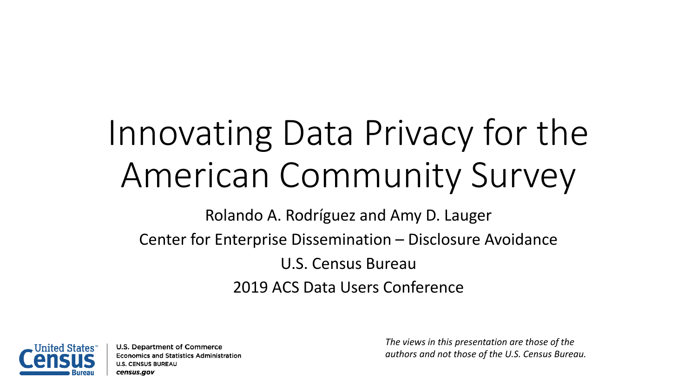# Innovating Data Privacy for the American Community Survey

Rolando A. Rodríguez and Amy D. Lauger

Center for Enterprise Dissemination – Disclosure Avoidance

U.S. Census Bureau 2019 ACS Data Users Conference



U.S. Department of Commerce **Economics and Statistics Administration U.S. CENSUS BUREAU** census.gov

*The views in this presentation are those of the authors and not those of the U.S. Census Bureau.*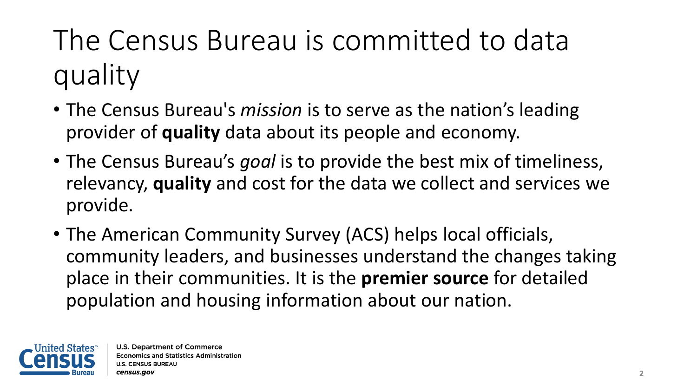## The Census Bureau is committed to data quality

- The Census Bureau's *mission* is to serve as the nation's leading provider of **quality** data about its people and economy.
- The Census Bureau's *goal* is to provide the best mix of timeliness, relevancy, **quality** and cost for the data we collect and services we provide.
- The American Community Survey (ACS) helps local officials, community leaders, and businesses understand the changes taking place in their communities. It is the **premier source** for detailed population and housing information about our nation.

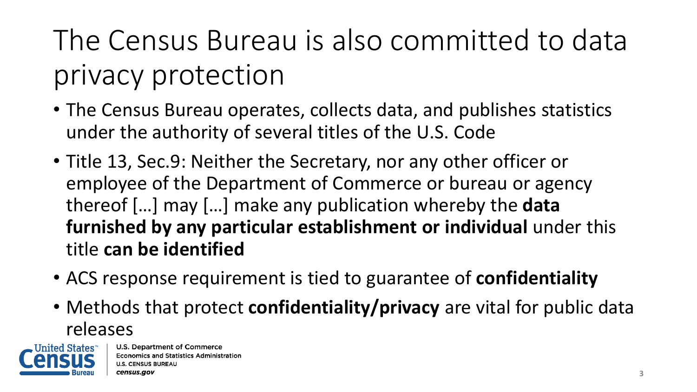The Census Bureau is also committed to data privacy protection

- The Census Bureau operates, collects data, and publishes statistics under the authority of several titles of the U.S. Code
- Title 13, Sec.9: Neither the Secretary, nor any other officer or employee of the Department of Commerce or bureau or agency thereof […] may […] make any publication whereby the **data furnished by any particular establishment or individual** under this title **can be identified**
- ACS response requirement is tied to guarantee of **confidentiality**
- Methods that protect **confidentiality/privacy** are vital for public data releases

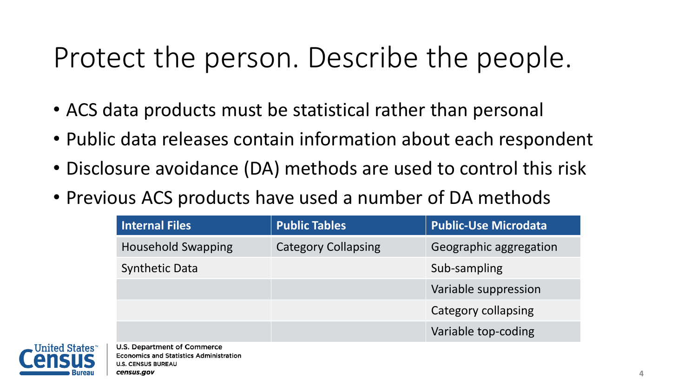#### Protect the person. Describe the people.

- ACS data products must be statistical rather than personal
- Public data releases contain information about each respondent
- Disclosure avoidance (DA) methods are used to control this risk
- Previous ACS products have used a number of DA methods

| Internal Files            | <b>Public Tables</b>       | <b>Public-Use Microdata</b> |
|---------------------------|----------------------------|-----------------------------|
| <b>Household Swapping</b> | <b>Category Collapsing</b> | Geographic aggregation      |
| <b>Synthetic Data</b>     |                            | Sub-sampling                |
|                           |                            | Variable suppression        |
|                           |                            | Category collapsing         |
|                           |                            | Variable top-coding         |

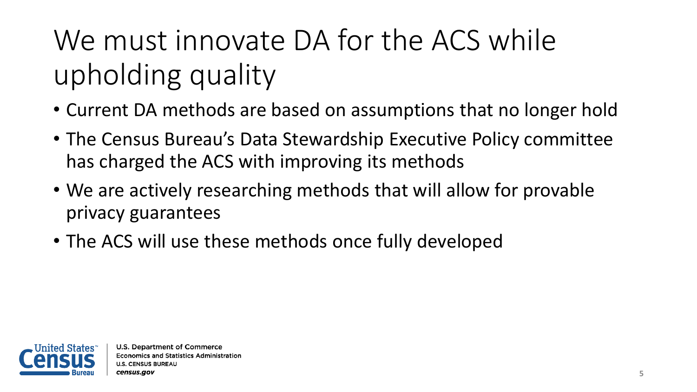# We must innovate DA for the ACS while upholding quality

- Current DA methods are based on assumptions that no longer hold
- The Census Bureau's Data Stewardship Executive Policy committee has charged the ACS with improving its methods
- We are actively researching methods that will allow for provable privacy guarantees
- The ACS will use these methods once fully developed

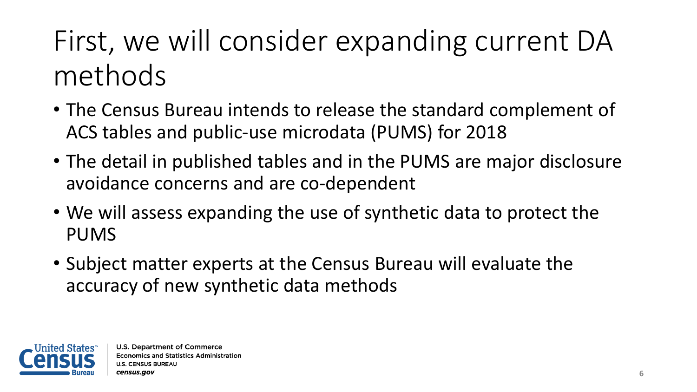### First, we will consider expanding current DA methods

- The Census Bureau intends to release the standard complement of ACS tables and public-use microdata (PUMS) for 2018
- The detail in published tables and in the PUMS are major disclosure avoidance concerns and are co-dependent
- We will assess expanding the use of synthetic data to protect the PUMS
- Subject matter experts at the Census Bureau will evaluate the accuracy of new synthetic data methods

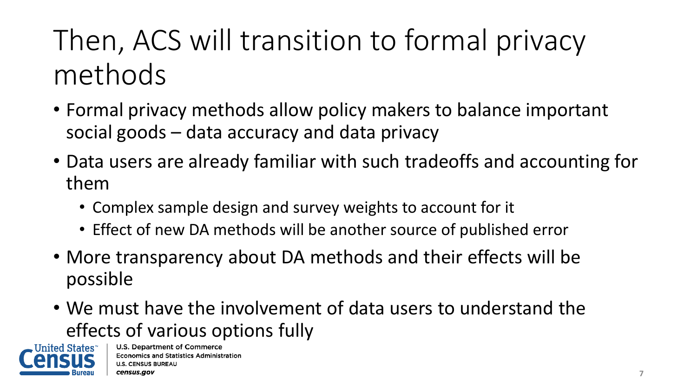## Then, ACS will transition to formal privacy methods

- Formal privacy methods allow policy makers to balance important social goods – data accuracy and data privacy
- Data users are already familiar with such tradeoffs and accounting for them
	- Complex sample design and survey weights to account for it
	- Effect of new DA methods will be another source of published error
- More transparency about DA methods and their effects will be possible
- We must have the involvement of data users to understand the effects of various options fully

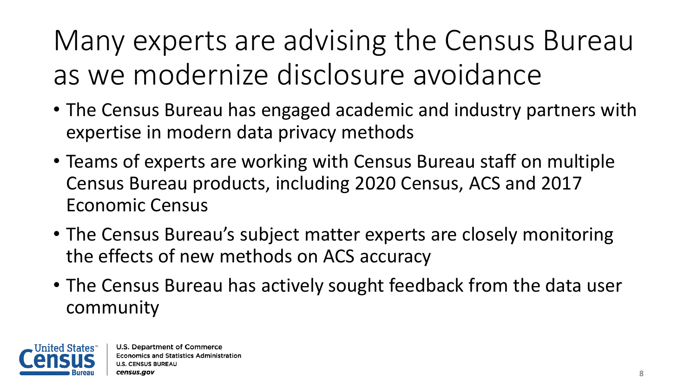Many experts are advising the Census Bureau as we modernize disclosure avoidance

- The Census Bureau has engaged academic and industry partners with expertise in modern data privacy methods
- Teams of experts are working with Census Bureau staff on multiple Census Bureau products, including 2020 Census, ACS and 2017 Economic Census
- The Census Bureau's subject matter experts are closely monitoring the effects of new methods on ACS accuracy
- The Census Bureau has actively sought feedback from the data user community

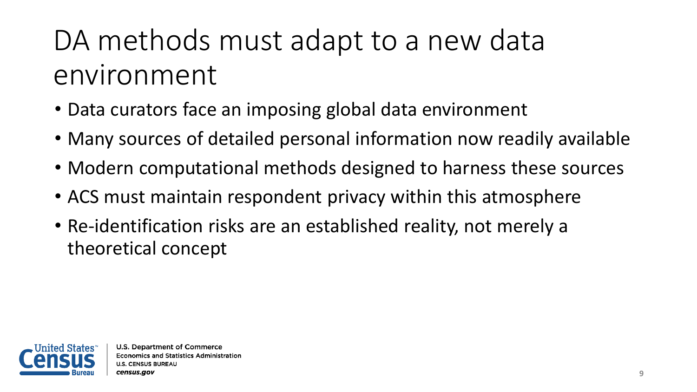### DA methods must adapt to a new data environment

- Data curators face an imposing global data environment
- Many sources of detailed personal information now readily available
- Modern computational methods designed to harness these sources
- ACS must maintain respondent privacy within this atmosphere
- Re-identification risks are an established reality, not merely a theoretical concept

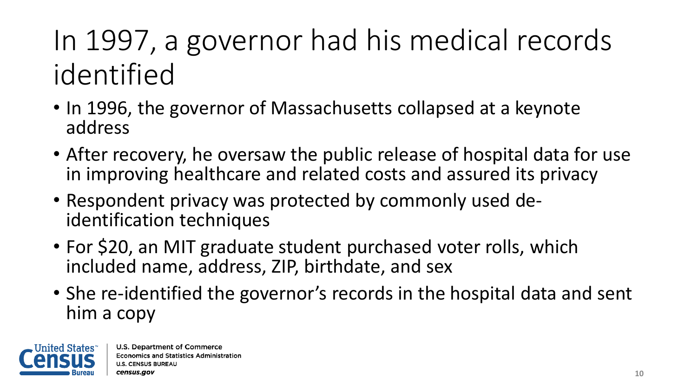## In 1997, a governor had his medical records identified

- In 1996, the governor of Massachusetts collapsed at a keynote address
- After recovery, he oversaw the public release of hospital data for use in improving healthcare and related costs and assured its privacy
- Respondent privacy was protected by commonly used de- identification techniques
- For \$20, an MIT graduate student purchased voter rolls, which included name, address, ZIP, birthdate, and sex
- She re-identified the governor's records in the hospital data and sent him a copy

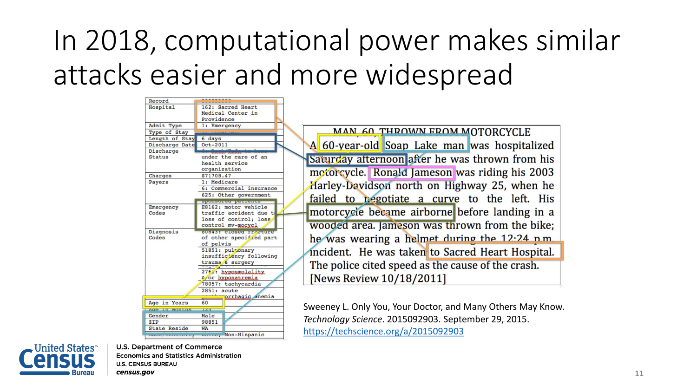### In 2018, computational power makes similar attacks easier and more widespread

| Record                  |                                            |                                                             |  |
|-------------------------|--------------------------------------------|-------------------------------------------------------------|--|
| Hospital                | 162: Sacred Heart                          |                                                             |  |
|                         | Medical Center in                          |                                                             |  |
|                         | Providence                                 |                                                             |  |
| Admit Type              | 1: Emergency                               |                                                             |  |
| Type of Stay            |                                            | MAN 60 THROWN FROM MOTORCYCLE                               |  |
| Length of Stay          | 6 days                                     |                                                             |  |
| Discharge Date          | $Oct-2011$                                 | A 60-year-old Soap Lake man was hospitalized                |  |
| Discharge               |                                            |                                                             |  |
| <b>Status</b>           | under the care of an<br>health service     | Saturday afternoon after he was thrown from his             |  |
|                         | organization                               |                                                             |  |
| Charges                 | \$71708.47                                 | motorcycle. Ronald Jameson was riding his 2003              |  |
| Payers                  | 1: Medicare                                |                                                             |  |
|                         | 6: Commercial insurance                    | Harley-Davidson north on Highway 25, when he                |  |
|                         | 625: Other government                      | failed to begotiate a curve to the left. His                |  |
|                         | open-rouse parasites                       |                                                             |  |
| <b>Emergency</b>        | E8162: motor vehicle                       | motorcycle became airborne before landing in a              |  |
| Codes                   | traffic accident due t                     |                                                             |  |
|                         | loss of control; loss<br>control mv-mocycl | wooded area. Jameson was thrown from the bike;              |  |
| Diagnosis               | <b>NUNESE GLOSGE BRAZENING</b>             |                                                             |  |
| Codes                   | of other specified part                    | he was wearing a helmet during the 12:24 n.m.               |  |
|                         | of pelvis                                  |                                                             |  |
|                         | 51851: pulmonary                           | incident. He was taken to Sacred Heart Hospital.            |  |
|                         | insufficiency following                    |                                                             |  |
|                         | trauma & surgery                           | The police cited speed as the cause of the crash.           |  |
|                         | 2761: hyposmolality                        |                                                             |  |
|                         | &/or hyponatremia                          | [News Review 10/18/2011]                                    |  |
|                         | 78057: tachycardia                         |                                                             |  |
|                         | 2851: acute                                |                                                             |  |
|                         | prrhagic anemia                            |                                                             |  |
| Age in Years            | 60                                         | Sweeney L. Only You, Your Doctor, and Many Others May Know. |  |
| Age in Months<br>Gender | $125 -$<br>Male                            |                                                             |  |
| ZIP                     | 98851                                      | Technology Science. 2015092903. September 29, 2015.         |  |
| <b>State Reside</b>     | <b>WA</b>                                  |                                                             |  |
| naversemmerser          | mirre, Non-Hispanic                        | https://techscience.org/a/2015092903                        |  |



**U.S. Department of Commerce Economics and Statistics Administration U.S. CENSUS BUREAU** census.gov

**11**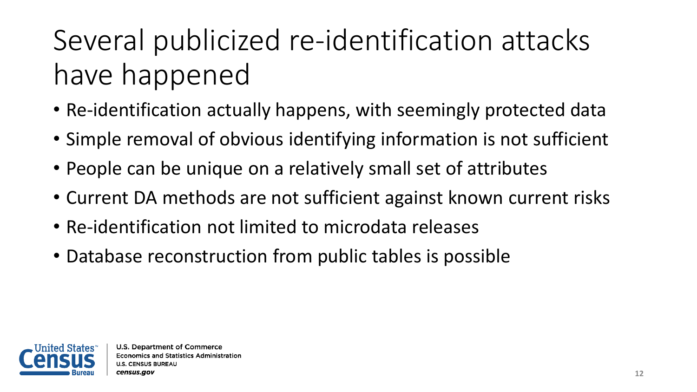## Several publicized re-identification attacks have happened

- Re-identification actually happens, with seemingly protected data
- Simple removal of obvious identifying information is not sufficient
- People can be unique on a relatively small set of attributes
- Current DA methods are not sufficient against known current risks
- Re-identification not limited to microdata releases
- Database reconstruction from public tables is possible

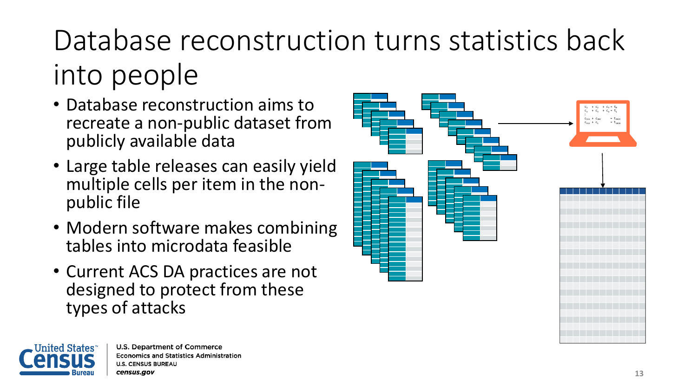# Database reconstruction turns statistics back into people

- Database reconstruction aims to recreate a non-public dataset from publicly available data
- Large table releases can easily yield multiple cells per item in the non- public file
- Modern software makes combining tables into microdata feasible
- Current ACS DA practices are not designed to protect from these types of attacks



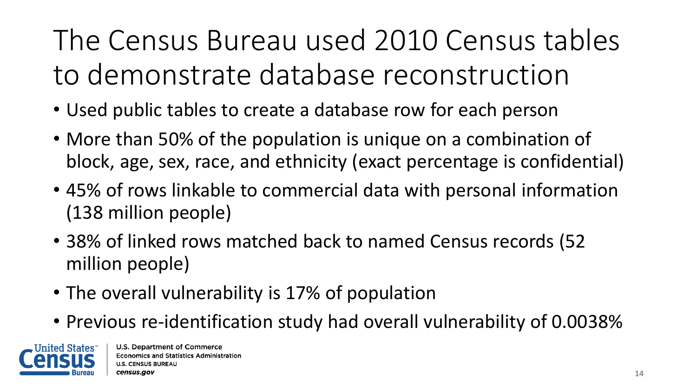The Census Bureau used 2010 Census tables to demonstrate database reconstruction

- Used public tables to create a database row for each person
- More than 50% of the population is unique on a combination of block, age, sex, race, and ethnicity (exact percentage is confidential)
- 45% of rows linkable to commercial data with personal information (138 million people)
- 38% of linked rows matched back to named Census records (52 million people)
- The overall vulnerability is 17% of population
- Previous re-identification study had overall vulnerability of 0.0038%

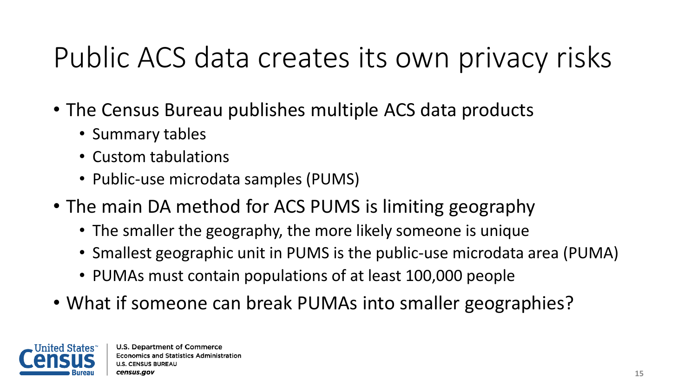### Public ACS data creates its own privacy risks

- The Census Bureau publishes multiple ACS data products
	- Summary tables
	- Custom tabulations
	- Public-use microdata samples (PUMS)
- The main DA method for ACS PUMS is limiting geography
	- The smaller the geography, the more likely someone is unique
	- Smallest geographic unit in PUMS is the public-use microdata area (PUMA)
	- PUMAs must contain populations of at least 100,000 people
- What if someone can break PUMAs into smaller geographies?

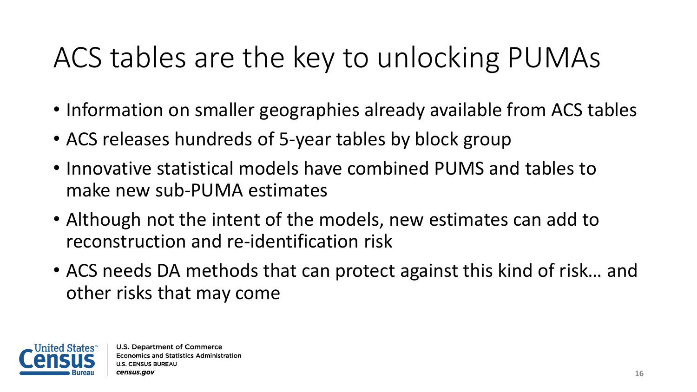### ACS tables are the key to unlocking PUMAs

- Information on smaller geographies already available from ACS tables
- ACS releases hundreds of 5-year tables by block group
- Innovative statistical models have combined PUMS and tables to make new sub-PUMA estimates
- Although not the intent of the models, new estimates can add to reconstruction and re-identification risk
- ACS needs DA methods that can protect against this kind of risk… and other risks that may come

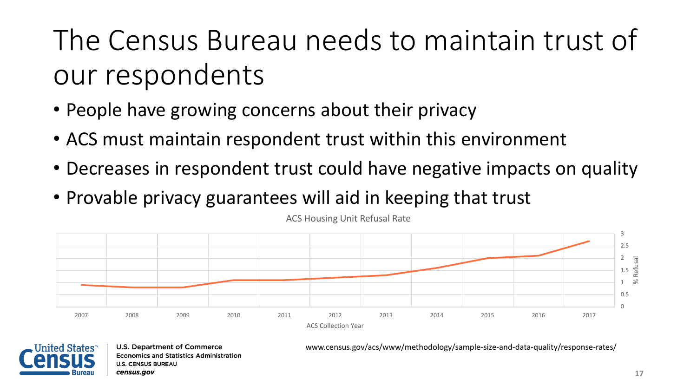## The Census Bureau needs to maintain trust of our respondents

- People have growing concerns about their privacy
- ACS must maintain respondent trust within this environment
- Decreases in respondent trust could have negative impacts on quality
- Provable privacy guarantees will aid in keeping that trust



ACS Housing Unit Refusal Rate



**U.S. Department of Commerce Economics and Statistics Administration U.S. CENSUS BUREAU** census.gov

www.census.gov/acs/www/methodology/sample-size-and-data-quality/response-rates/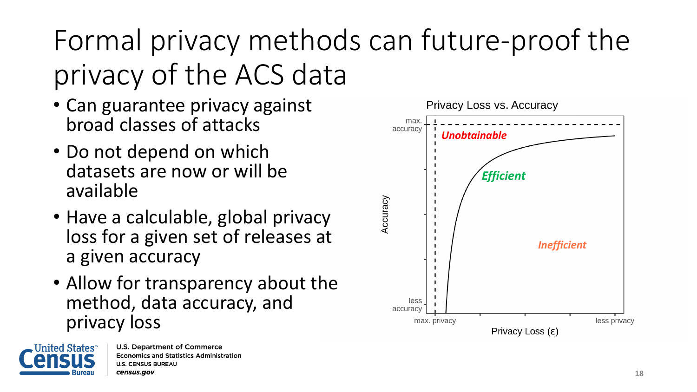## Formal privacy methods can future-proof the privacy of the ACS data

- Can guarantee privacy against broad classes of attacks
- Do not depend on which datasets are now or will be available
- Have a calculable, global privacy loss for a given set of releases at a given accuracy
- Allow for transparency about the method, data accuracy, and privacy loss



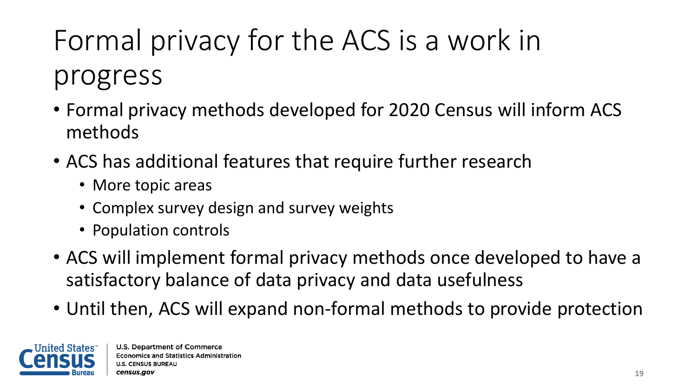# Formal privacy for the ACS is a work in progress

- Formal privacy methods developed for 2020 Census will inform ACS methods
- ACS has additional features that require further research
	- More topic areas
	- Complex survey design and survey weights
	- Population controls
- ACS will implement formal privacy methods once developed to have a satisfactory balance of data privacy and data usefulness
- Until then, ACS will expand non-formal methods to provide protection

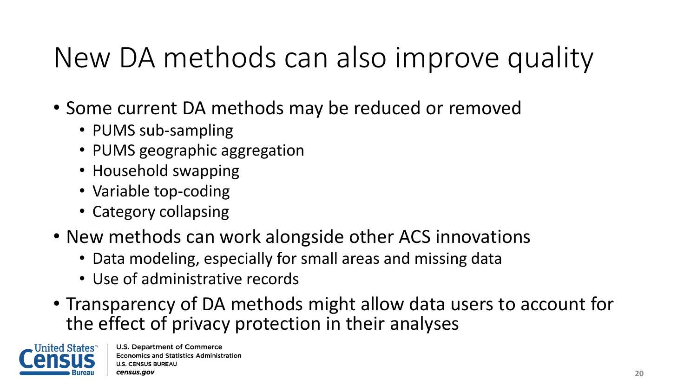### New DA methods can also improve quality

- Some current DA methods may be reduced or removed
	- PUMS sub-sampling
	- PUMS geographic aggregation
	- Household swapping
	- Variable top-coding
	- Category collapsing
- New methods can work alongside other ACS innovations
	- Data modeling, especially for small areas and missing data
	- Use of administrative records
- Transparency of DA methods might allow data users to account for the effect of privacy protection in their analyses